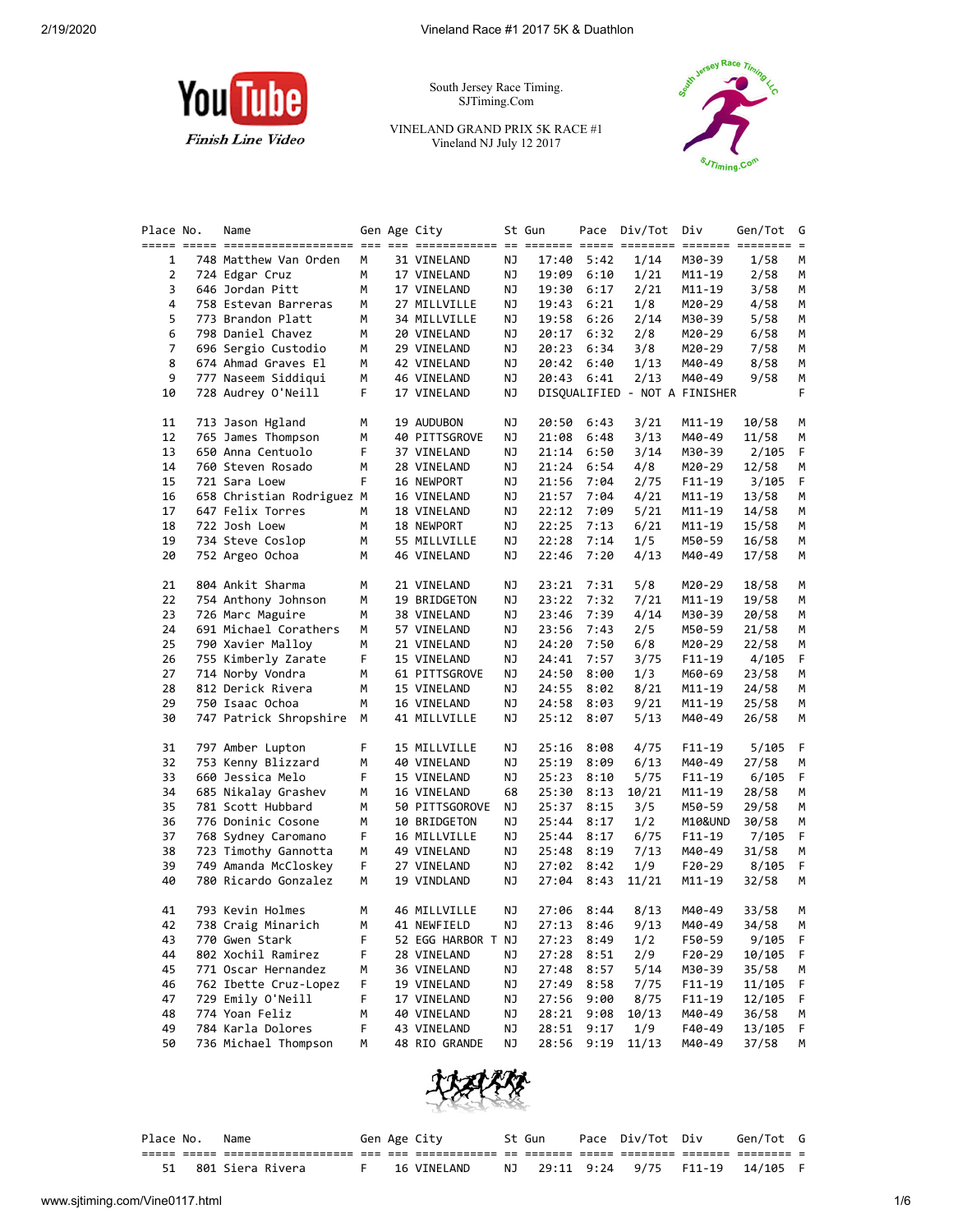

South Jersey Race Timing. SJTiming.Com

VINELAND GRAND PRIX 5K RACE #1 Vineland NJ July 12 2017



| Place No. | Name                      |    | Gen Age City       |    | St Gun     | Pace | Div/Tot                       | Div        | Gen/Tot | G  |
|-----------|---------------------------|----|--------------------|----|------------|------|-------------------------------|------------|---------|----|
| 1         | 748 Matthew Van Orden     | М  | 31 VINELAND        | ΝJ | 17:40      | 5:42 | 1/14                          | M30-39     | 1/58    | М  |
| 2         | 724 Edgar Cruz            | м  | 17 VINELAND        | ΝJ | 19:09      | 6:10 | 1/21                          | M11-19     | 2/58    | м  |
| 3         | 646 Jordan Pitt           | м  | 17 VINELAND        | ΝJ | 19:30      | 6:17 | 2/21                          | M11-19     | 3/58    | м  |
| 4         | 758 Estevan Barreras      | м  | 27 MILLVILLE       | ΝJ | 19:43      | 6:21 | 1/8                           | M20-29     | 4/58    | М  |
| 5         | 773 Brandon Platt         | м  | 34 MILLVILLE       | ΝJ | 19:58      | 6:26 | 2/14                          | M30-39     | 5/58    | М  |
| 6         | 798 Daniel Chavez         | м  | 20 VINELAND        | ΝJ | 20:17      | 6:32 | 2/8                           | M20-29     | 6/58    | М  |
| 7         | 696 Sergio Custodio       | м  | 29 VINELAND        | ΝJ | 20:23      | 6:34 | 3/8                           | M20-29     | 7/58    | М  |
| 8         | 674 Ahmad Graves El       | м  | 42 VINELAND        | ΝJ | 20:42 6:40 |      | 1/13                          | M40-49     | 8/58    | М  |
| 9         | 777 Naseem Siddiqui       | м  | 46 VINELAND        | ΝJ | 20:43 6:41 |      | 2/13                          | M40-49     | 9/58    | м  |
| 10        | 728 Audrey O'Neill        | F. | 17 VINELAND        | ΝJ |            |      | DISQUALIFIED - NOT A FINISHER |            |         | F  |
| 11        | 713 Jason Hgland          | М  | 19 AUDUBON         | ΝJ | 20:50      | 6:43 | 3/21                          | M11-19     | 10/58   | М  |
| 12        | 765 James Thompson        | м  | 40 PITTSGROVE      | ΝJ | 21:08      | 6:48 | 3/13                          | M40-49     | 11/58   | М  |
| 13        | 650 Anna Centuolo         | F  | 37 VINELAND        | ΝJ | 21:14      | 6:50 | 3/14                          | M30-39     | 2/105   | F. |
| 14        | 760 Steven Rosado         | М  | 28 VINELAND        | ΝJ | 21:24      | 6:54 | 4/8                           | M20-29     | 12/58   | М  |
| 15        | 721 Sara Loew             | F  | 16 NEWPORT         | ΝJ | 21:56      | 7:04 | 2/75                          | $F11-19$   | 3/105   | F. |
| 16        | 658 Christian Rodriguez M |    | 16 VINELAND        | ΝJ | 21:57      | 7:04 | 4/21                          | M11-19     | 13/58   | М  |
| 17        | 647 Felix Torres          | м  | 18 VINELAND        | ΝJ | 22:12      | 7:09 | 5/21                          | M11-19     | 14/58   | М  |
| 18        | 722 Josh Loew             | м  | 18 NEWPORT         | ΝJ | 22:25      | 7:13 | 6/21                          | M11-19     | 15/58   | М  |
| 19        | 734 Steve Coslop          | м  | 55 MILLVILLE       | ΝJ | 22:28      | 7:14 | 1/5                           | M50-59     | 16/58   | M  |
| 20        | 752 Argeo Ochoa           | м  | 46 VINELAND        | ΝJ | 22:46      | 7:20 | 4/13                          | M40-49     | 17/58   | М  |
| 21        | 804 Ankit Sharma          | м  | 21 VINELAND        | ΝJ | 23:21      | 7:31 | 5/8                           | M20-29     | 18/58   | M  |
| 22        | 754 Anthony Johnson       | м  | 19 BRIDGETON       | ΝJ | 23:22      | 7:32 | 7/21                          | M11-19     | 19/58   | М  |
| 23        | 726 Marc Maguire          | М  | 38 VINELAND        | ΝJ | 23:46      | 7:39 | 4/14                          | M30-39     | 20/58   | м  |
| 24        | 691 Michael Corathers     | м  | 57 VINELAND        | ΝJ | 23:56      | 7:43 | 2/5                           | M50-59     | 21/58   | м  |
| 25        | 790 Xavier Malloy         | м  | 21 VINELAND        | ΝJ | 24:20      | 7:50 | 6/8                           | M20-29     | 22/58   | м  |
| 26        | 755 Kimberly Zarate       | F  | 15 VINELAND        | ΝJ | 24:41      | 7:57 | 3/75                          | $F11-19$   | 4/105   | F  |
| 27        | 714 Norby Vondra          | м  | 61 PITTSGROVE      | ΝJ | 24:50      | 8:00 | 1/3                           | M60-69     | 23/58   | М  |
| 28        | 812 Derick Rivera         | м  | 15 VINELAND        | ΝJ | 24:55      | 8:02 | 8/21                          | M11-19     | 24/58   | М  |
| 29        | 750 Isaac Ochoa           | м  | 16 VINELAND        | ΝJ | 24:58      | 8:03 | 9/21                          | M11-19     | 25/58   | М  |
| 30        | 747 Patrick Shropshire    | м  | 41 MILLVILLE       | ΝJ | 25:12      | 8:07 | 5/13                          | M40-49     | 26/58   | М  |
| 31        | 797 Amber Lupton          | F  | 15 MILLVILLE       | ΝJ | 25:16      | 8:08 | 4/75                          | $F11-19$   | 5/105   | F  |
| 32        | 753 Kenny Blizzard        | м  | 40 VINELAND        | ΝJ | 25:19      | 8:09 | 6/13                          | M40-49     | 27/58   | м  |
| 33        | 660 Jessica Melo          | F  | 15 VINELAND        | ΝJ | 25:23      | 8:10 | 5/75                          | F11-19     | 6/105   | F  |
| 34        | 685 Nikalay Grashev       | м  | 16 VINELAND        | 68 | 25:30      | 8:13 | 10/21                         | M11-19     | 28/58   | М  |
| 35        | 781 Scott Hubbard         | м  | 50 PITTSGOROVE     | ΝJ | 25:37      | 8:15 | 3/5                           | M50-59     | 29/58   | м  |
| 36        | 776 Doninic Cosone        | м  | 10 BRIDGETON       | ΝJ | 25:44      | 8:17 | 1/2                           | M10&UND    | 30/58   | м  |
| 37        | 768 Sydney Caromano       | F  | 16 MILLVILLE       | ΝJ | 25:44      | 8:17 | 6/75                          | $F11-19$   | 7/105   | F  |
| 38        | 723 Timothy Gannotta      | м  | 49 VINELAND        | ΝJ | 25:48      | 8:19 | 7/13                          | M40-49     | 31/58   | М  |
| 39        | 749 Amanda McCloskey      | F  | 27 VINELAND        | ΝJ | 27:02      | 8:42 | 1/9                           | $F20-29$   | 8/105   | F. |
| 40        | 780 Ricardo Gonzalez      | М  | 19 VINDLAND        | ΝJ | 27:04      | 8:43 | 11/21                         | M11-19     | 32/58   | М  |
| 41        | 793 Kevin Holmes          | м  | 46 MILLVILLE       | ΝJ | 27:06      | 8:44 | 8/13                          | M40-49     | 33/58   | м  |
| 42        | 738 Craig Minarich        | M  | 41 NEWFIELD        | ΝJ | 27:13      | 8:46 | 9/13                          | M40-49     | 34/58   | M  |
| 43        | 770 Gwen Stark            | F  | 52 EGG HARBOR T NJ |    | 27:23      | 8:49 | 1/2                           | F50-59     | 9/105   | F  |
| 44        | 802 Xochil Ramirez        | F  | 28 VINELAND        | ΝJ | 27:28      | 8:51 | 2/9                           | $F20-29$   | 10/105  | F  |
| 45        | 771 Oscar Hernandez       | м  | 36 VINELAND        | ΝJ | 27:48      | 8:57 | 5/14                          | M30-39     | 35/58   | м  |
| 46        | 762 Ibette Cruz-Lopez     | F  | 19 VINELAND        | ΝJ | 27:49      | 8:58 | 7/75                          | $F11-19$   | 11/105  | F  |
| 47        | 729 Emily O'Neill         | F  | 17 VINELAND        | ΝJ | 27:56      | 9:00 | 8/75                          | $F11 - 19$ | 12/105  | F  |
| 48        | 774 Yoan Feliz            | М  | 40 VINELAND        | ΝJ | 28:21      | 9:08 | 10/13                         | M40-49     | 36/58   | м  |
| 49        | 784 Karla Dolores         | F  | 43 VINELAND        | ΝJ | 28:51      | 9:17 | 1/9                           | F40-49     | 13/105  | F  |
| 50        | 736 Michael Thompson      | М  | 48 RIO GRANDE      | ΝJ | 28:56 9:19 |      | 11/13                         | M40-49     | 37/58   | М  |



| Place No. | Name                  |  | Gen Age City | St Gun | Pace Div/Tot Div | Gen/Tot G                          |  |
|-----------|-----------------------|--|--------------|--------|------------------|------------------------------------|--|
|           |                       |  |              |        |                  |                                    |  |
|           | 51 - 801 Siera Rivera |  | 16 VINELAND  |        |                  | NJ 29:11 9:24 9/75 F11-19 14/105 F |  |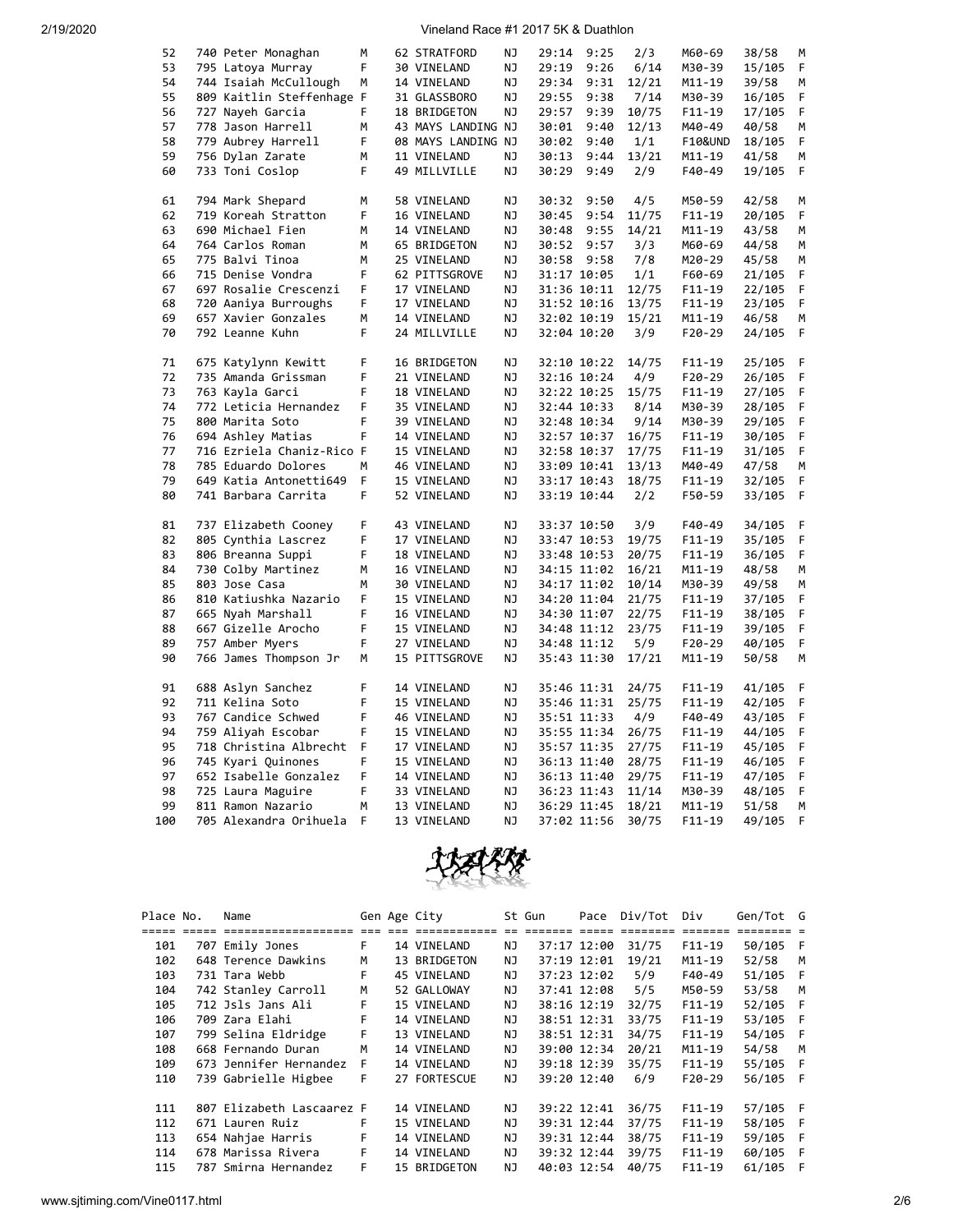| 52  | 740 Peter Monaghan        | M | 62 STRATFORD       | ΝJ  | 29:14 | 9:25        | 2/3   | M60-69     | 38/58  | M |
|-----|---------------------------|---|--------------------|-----|-------|-------------|-------|------------|--------|---|
| 53  | 795 Latoya Murray         | F | 30 VINELAND        | NJ  | 29:19 | 9:26        | 6/14  | M30-39     | 15/105 | F |
| 54  | 744 Isaiah McCullough     | М | 14 VINELAND        | ΝJ  | 29:34 | 9:31        | 12/21 | M11-19     | 39/58  | М |
| 55  | 809 Kaitlin Steffenhage F |   | 31 GLASSBORO       | ΝJ  | 29:55 | 9:38        | 7/14  | M30-39     | 16/105 | F |
| 56  | 727 Nayeh Garcia          | F | 18 BRIDGETON       | ΝJ  | 29:57 | 9:39        | 10/75 | $F11-19$   | 17/105 | F |
| 57  | 778 Jason Harrell         | М | 43 MAYS LANDING NJ |     | 30:01 | 9:40        | 12/13 | M40-49     | 40/58  | M |
| 58  | 779 Aubrey Harrell        | F | 08 MAYS LANDING NJ |     | 30:02 | 9:40        | 1/1   | F10&UND    | 18/105 | F |
| 59  | 756 Dylan Zarate          | М | 11 VINELAND        | NJ  | 30:13 | 9:44        | 13/21 | M11-19     | 41/58  | М |
| 60  | 733 Toni Coslop           | F | 49 MILLVILLE       | NJ. | 30:29 | 9:49        | 2/9   | F40-49     | 19/105 | F |
|     |                           |   |                    |     |       |             |       |            |        |   |
| 61  | 794 Mark Shepard          | M | 58 VINELAND        | ΝJ  | 30:32 | 9:50        | 4/5   | M50-59     | 42/58  | М |
| 62  | 719 Koreah Stratton       | F | 16 VINELAND        | ΝJ  | 30:45 | 9:54        | 11/75 | $F11 - 19$ | 20/105 | F |
| 63  | 690 Michael Fien          | М | 14 VINELAND        | ΝJ  | 30:48 | 9:55        | 14/21 | M11-19     | 43/58  | М |
| 64  | 764 Carlos Roman          | M | 65 BRIDGETON       | ΝJ  | 30:52 | 9:57        | 3/3   | M60-69     | 44/58  | M |
| 65  | 775 Balvi Tinoa           | М | 25 VINELAND        | ΝJ  |       | 30:58 9:58  | 7/8   | M20-29     | 45/58  | М |
| 66  | 715 Denise Vondra         | F | 62 PITTSGROVE      | NJ  |       | 31:17 10:05 | 1/1   | F60-69     | 21/105 | F |
| 67  | 697 Rosalie Crescenzi     | F | 17 VINELAND        | ΝJ  |       | 31:36 10:11 | 12/75 | $F11-19$   | 22/105 | F |
| 68  | 720 Aaniya Burroughs      | F | 17 VINELAND        | ΝJ  |       | 31:52 10:16 | 13/75 | $F11 - 19$ | 23/105 | F |
| 69  | 657 Xavier Gonzales       | М | 14 VINELAND        | NJ  |       | 32:02 10:19 | 15/21 | M11-19     | 46/58  | М |
| 70  | 792 Leanne Kuhn           | F | 24 MILLVILLE       | ΝJ  |       | 32:04 10:20 | 3/9   | $F20-29$   | 24/105 | F |
|     |                           |   |                    |     |       |             |       |            |        |   |
| 71  | 675 Katylynn Kewitt       | F | 16 BRIDGETON       | ΝJ  |       | 32:10 10:22 | 14/75 | $F11 - 19$ | 25/105 | F |
| 72  | 735 Amanda Grissman       | F | 21 VINELAND        | NJ  |       | 32:16 10:24 | 4/9   | $F20-29$   | 26/105 | F |
| 73  | 763 Kayla Garci           | F | 18 VINELAND        | NJ  |       | 32:22 10:25 | 15/75 | $F11 - 19$ | 27/105 | F |
| 74  | 772 Leticia Hernandez     | F | 35 VINELAND        | ΝJ  |       | 32:44 10:33 | 8/14  | M30-39     | 28/105 | F |
| 75  | 800 Marita Soto           | F | 39 VINELAND        | ΝJ  |       | 32:48 10:34 | 9/14  | M30-39     | 29/105 | F |
| 76  | 694 Ashley Matias         | F | 14 VINELAND        | ΝJ  |       | 32:57 10:37 | 16/75 | F11-19     | 30/105 | F |
| 77  | 716 Ezriela Chaniz-Rico F |   | 15 VINELAND        | NJ  |       | 32:58 10:37 | 17/75 | $F11 - 19$ | 31/105 | F |
| 78  | 785 Eduardo Dolores       | M | 46 VINELAND        | ΝJ  |       | 33:09 10:41 | 13/13 | M40-49     | 47/58  | M |
| 79  | 649 Katia Antonetti649    | F | 15 VINELAND        | NJ  |       | 33:17 10:43 | 18/75 | $F11 - 19$ | 32/105 | F |
| 80  | 741 Barbara Carrita       | F | 52 VINELAND        | ΝJ  |       | 33:19 10:44 | 2/2   | F50-59     | 33/105 | F |
|     |                           |   |                    |     |       |             |       |            |        |   |
| 81  | 737 Elizabeth Cooney      | F | 43 VINELAND        | NJ  |       | 33:37 10:50 | 3/9   | F40-49     | 34/105 | F |
| 82  | 805 Cynthia Lascrez       | F | 17 VINELAND        | ΝJ  |       | 33:47 10:53 | 19/75 | $F11-19$   | 35/105 | F |
| 83  | 806 Breanna Suppi         | F | 18 VINELAND        | ΝJ  |       | 33:48 10:53 | 20/75 | $F11 - 19$ | 36/105 | F |
| 84  | 730 Colby Martinez        | M | 16 VINELAND        | NJ  |       | 34:15 11:02 | 16/21 | M11-19     | 48/58  | М |
| 85  | 803 Jose Casa             | М | 30 VINELAND        | ΝJ  |       | 34:17 11:02 | 10/14 | M30-39     | 49/58  | М |
| 86  | 810 Katiushka Nazario     | F | 15 VINELAND        | ΝJ  |       | 34:20 11:04 | 21/75 | $F11-19$   | 37/105 | F |
| 87  | 665 Nyah Marshall         | F | 16 VINELAND        | ΝJ  |       | 34:30 11:07 | 22/75 | $F11-19$   | 38/105 | F |
| 88  | 667 Gizelle Arocho        | F | 15 VINELAND        | ΝJ  |       | 34:48 11:12 | 23/75 | F11-19     | 39/105 | F |
| 89  | 757 Amber Myers           | F | 27 VINELAND        | NJ  |       | 34:48 11:12 | 5/9   | $F20-29$   | 40/105 | F |
| 90  | 766 James Thompson Jr     | М | 15 PITTSGROVE      | ΝJ  |       | 35:43 11:30 | 17/21 | M11-19     | 50/58  | M |
|     |                           |   |                    |     |       |             |       |            |        |   |
| 91  | 688 Aslyn Sanchez         | F | 14 VINELAND        | ΝJ  |       | 35:46 11:31 | 24/75 | F11-19     | 41/105 | F |
| 92  | 711 Kelina Soto           | F | 15 VINELAND        | NJ  |       | 35:46 11:31 | 25/75 | $F11 - 19$ | 42/105 | F |
| 93  | 767 Candice Schwed        | F | 46 VINELAND        | ΝJ  |       | 35:51 11:33 | 4/9   | F40-49     | 43/105 | F |
| 94  | 759 Aliyah Escobar        | F | 15 VINELAND        | ΝJ  |       | 35:55 11:34 | 26/75 | $F11 - 19$ | 44/105 | F |
| 95  | 718 Christina Albrecht    | F | 17 VINELAND        | ΝJ  |       | 35:57 11:35 | 27/75 | F11-19     | 45/105 | F |
| 96  | 745 Kyari Quinones        | F | 15 VINELAND        | ΝJ  |       | 36:13 11:40 | 28/75 | $F11 - 19$ | 46/105 | F |
| 97  | 652 Isabelle Gonzalez     | F | 14 VINELAND        | NJ  |       | 36:13 11:40 | 29/75 | $F11 - 19$ | 47/105 | F |
| 98  | 725 Laura Maguire         | F | 33 VINELAND        | ΝJ  |       | 36:23 11:43 | 11/14 | M30-39     | 48/105 | F |
| 99  | 811 Ramon Nazario         | M | 13 VINELAND        | NJ  |       | 36:29 11:45 | 18/21 | M11-19     | 51/58  | M |
| 100 | 705 Alexandra Orihuela    | F | 13 VINELAND        | NJ  |       | 37:02 11:56 | 30/75 | $F11 - 19$ | 49/105 | F |
|     |                           |   |                    |     |       |             |       |            |        |   |



| Place No. | Name                      |    | Gen Age City     |     | St Gun | Pace        | Div/Tot  | Div        | Gen/Tot G        |     |
|-----------|---------------------------|----|------------------|-----|--------|-------------|----------|------------|------------------|-----|
|           |                           |    | ees essessessess |     |        |             | ======== |            | essesse essesses |     |
| 101       | 707 Emily Jones           | F. | 14 VINELAND      | NJ  |        | 37:17 12:00 | 31/75    | $F11-19$   | 50/105 F         |     |
| 102       | 648 Terence Dawkins       | М  | 13 BRIDGETON     | ΝJ  |        | 37:19 12:01 | 19/21    | $M11 - 19$ | 52/58            | M   |
| 103       | 731 Tara Webb             | F  | 45 VINELAND      | NJ  |        | 37:23 12:02 | 5/9      | $F40-49$   | 51/105           | - F |
| 104       | 742 Stanley Carroll       | M  | 52 GALLOWAY      | NJ. |        | 37:41 12:08 | 5/5      | M50-59     | 53/58            | M   |
| 105       | 712 Jsls Jans Ali         | F  | 15 VINELAND      | NJ. |        | 38:16 12:19 | 32/75    | $F11-19$   | 52/105 F         |     |
| 106       | 709 Zara Elahi            | F. | 14 VINELAND      | NJ. |        | 38:51 12:31 | 33/75    | $F11-19$   | 53/105 F         |     |
| 107       | 799 Selina Eldridge       | F. | 13 VINELAND      | NJ. |        | 38:51 12:31 | 34/75    | $F11-19$   | 54/105 F         |     |
| 108       | 668 Fernando Duran        | м  | 14 VINELAND      | NJ. |        | 39:00 12:34 | 20/21    | $M11 - 19$ | 54/58            | M   |
| 109       | 673 Jennifer Hernandez    | F  | 14 VINELAND      | NJ. |        | 39:18 12:39 | 35/75    | $F11-19$   | 55/105 F         |     |
| 110       | 739 Gabrielle Higbee      | F. | 27 FORTESCUE     | ΝJ  |        | 39:20 12:40 | 6/9      | $F20-29$   | 56/105 F         |     |
|           |                           |    |                  |     |        |             |          |            |                  |     |
| 111       | 807 Elizabeth Lascaarez F |    | 14 VINELAND      | NJ  |        | 39:22 12:41 | 36/75    | $F11-19$   | 57/105 F         |     |
| 112       | 671 Lauren Ruiz           | F. | 15 VINELAND      | NJ  |        | 39:31 12:44 | 37/75    | $F11-19$   | 58/105 F         |     |
| 113       | 654 Nahjae Harris         | F  | 14 VINELAND      | NJ  |        | 39:31 12:44 | 38/75    | $F11-19$   | 59/105 F         |     |
| 114       | 678 Marissa Rivera        | F. | 14 VINELAND      | NJ. |        | 39:32 12:44 | 39/75    | $F11-19$   | 60/105 F         |     |
| 115       | 787 Smirna Hernandez      | F. | 15 BRIDGETON     | NJ. |        | 40:03 12:54 | 40/75    | $F11-19$   | 61/105 F         |     |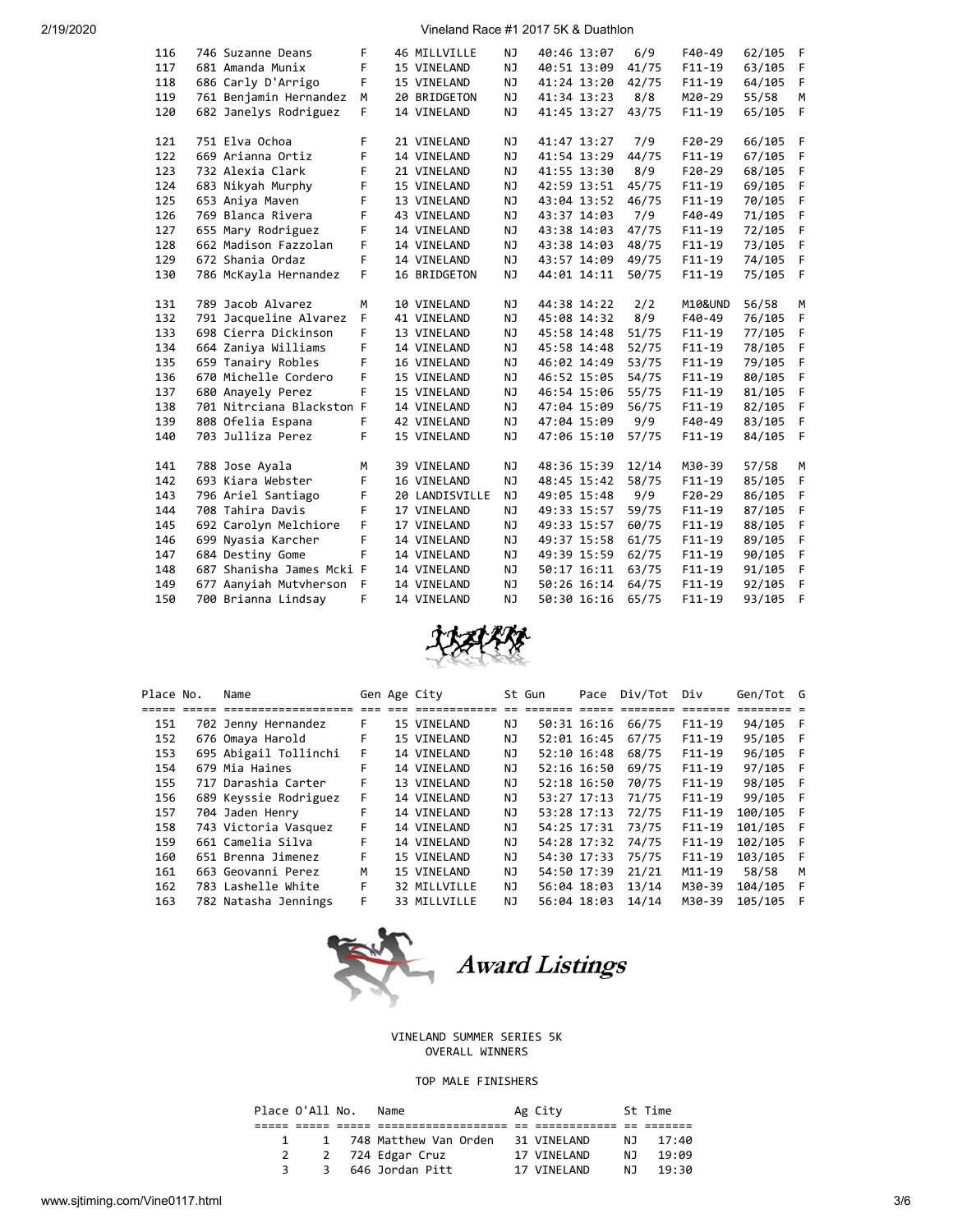| 116 | 746 Suzanne Deans         | F | 46 MILLVILLE   | NJ | 40:46 13:07 | 6/9   | $F40-49$   | 62/105 | $-F$         |
|-----|---------------------------|---|----------------|----|-------------|-------|------------|--------|--------------|
| 117 | 681 Amanda Munix          | F | 15 VINELAND    | NJ | 40:51 13:09 | 41/75 | $F11 - 19$ | 63/105 | F            |
| 118 | 686 Carly D'Arrigo        | F | 15 VINELAND    | NJ | 41:24 13:20 | 42/75 | $F11-19$   | 64/105 | F            |
| 119 | 761 Benjamin Hernandez    | M | 20 BRIDGETON   | NJ | 41:34 13:23 | 8/8   | M20-29     | 55/58  | M            |
| 120 | 682 Janelys Rodriguez     | F | 14 VINELAND    | NJ | 41:45 13:27 | 43/75 | $F11 - 19$ | 65/105 | F            |
|     |                           |   |                |    |             |       |            |        |              |
| 121 | 751 Elva Ochoa            | F | 21 VINELAND    | NJ | 41:47 13:27 | 7/9   | $F20-29$   | 66/105 | - F          |
| 122 | 669 Arianna Ortiz         | F | 14 VINELAND    | NJ | 41:54 13:29 | 44/75 | $F11-19$   | 67/105 | F            |
| 123 | 732 Alexia Clark          | F | 21 VINELAND    | NJ | 41:55 13:30 | 8/9   | $F20-29$   | 68/105 | F            |
| 124 | 683 Nikyah Murphy         | F | 15 VINELAND    | NJ | 42:59 13:51 | 45/75 | $F11 - 19$ | 69/105 | F            |
| 125 | 653 Aniya Maven           | F | 13 VINELAND    | NJ | 43:04 13:52 | 46/75 | $F11 - 19$ | 70/105 | E            |
| 126 | 769 Blanca Rivera         | F | 43 VINELAND    | NJ | 43:37 14:03 | 7/9   | $F40-49$   | 71/105 | F            |
| 127 | 655 Mary Rodriguez        | F | 14 VINELAND    | NJ | 43:38 14:03 | 47/75 | $F11 - 19$ | 72/105 | F            |
| 128 | 662 Madison Fazzolan      | F | 14 VINELAND    | NJ | 43:38 14:03 | 48/75 | $F11-19$   | 73/105 | $\mathsf{F}$ |
| 129 | 672 Shania Ordaz          | F | 14 VINELAND    | NJ | 43:57 14:09 | 49/75 | $F11-19$   | 74/105 | $\mathsf{F}$ |
| 130 | 786 McKayla Hernandez     | F | 16 BRIDGETON   | NJ | 44:01 14:11 | 50/75 | $F11 - 19$ | 75/105 | - F          |
|     |                           |   |                |    |             |       |            |        |              |
| 131 | 789 Jacob Alvarez         | M | 10 VINELAND    | NJ | 44:38 14:22 | 2/2   | M10&UND    | 56/58  | M            |
| 132 | 791 Jacqueline Alvarez    | F | 41 VINELAND    | NJ | 45:08 14:32 | 8/9   | F40-49     | 76/105 | F            |
| 133 | 698 Cierra Dickinson      | F | 13 VINELAND    | NJ | 45:58 14:48 | 51/75 | $F11-19$   | 77/105 | F            |
| 134 | 664 Zaniya Williams       | F | 14 VINELAND    | NJ | 45:58 14:48 | 52/75 | $F11-19$   | 78/105 | F            |
| 135 | 659 Tanairy Robles        | F | 16 VINELAND    | NJ | 46:02 14:49 | 53/75 | $F11 - 19$ | 79/105 | F            |
| 136 | 670 Michelle Cordero      | F | 15 VINELAND    | NJ | 46:52 15:05 | 54/75 | $F11-19$   | 80/105 | E            |
| 137 | 680 Anayely Perez         | F | 15 VINELAND    | NJ | 46:54 15:06 | 55/75 | $F11-19$   | 81/105 | $\mathsf{F}$ |
| 138 | 701 Nitrciana Blackston F |   | 14 VINELAND    | NJ | 47:04 15:09 | 56/75 | $F11 - 19$ | 82/105 | F            |
| 139 | 808 Ofelia Espana         | F | 42 VINELAND    | NJ | 47:04 15:09 | 9/9   | $F40-49$   | 83/105 | F            |
| 140 | 703 Julliza Perez         | F | 15 VINELAND    | NJ | 47:06 15:10 | 57/75 | $F11 - 19$ | 84/105 | E            |
|     |                           |   |                |    |             |       |            |        |              |
| 141 | 788 Jose Ayala            | М | 39 VINELAND    | NJ | 48:36 15:39 | 12/14 | M30-39     | 57/58  | M            |
| 142 | 693 Kiara Webster         | F | 16 VINELAND    | NJ | 48:45 15:42 | 58/75 | $F11 - 19$ | 85/105 | F            |
| 143 | 796 Ariel Santiago        | F | 20 LANDISVILLE | NJ | 49:05 15:48 | 9/9   | $F20-29$   | 86/105 | F            |
| 144 | 708 Tahira Davis          | F | 17 VINELAND    | NJ | 49:33 15:57 | 59/75 | $F11 - 19$ | 87/105 | F            |
| 145 | 692 Carolyn Melchiore     | F | 17 VINELAND    | NJ | 49:33 15:57 | 60/75 | $F11 - 19$ | 88/105 | $\mathsf{F}$ |
| 146 | 699 Nyasia Karcher        | F | 14 VINELAND    | NJ | 49:37 15:58 | 61/75 | $F11 - 19$ | 89/105 | F            |
| 147 | 684 Destiny Gome          | F | 14 VINELAND    | NJ | 49:39 15:59 | 62/75 | $F11 - 19$ | 90/105 | $\mathsf{F}$ |
| 148 | 687 Shanisha James Mcki F |   | 14 VINELAND    | NJ | 50:17 16:11 | 63/75 | $F11 - 19$ | 91/105 | F            |
| 149 | 677 Aanyiah Mutvherson    | F | 14 VINELAND    | NJ | 50:26 16:14 | 64/75 | $F11 - 19$ | 92/105 | F            |
| 150 | 700 Brianna Lindsav       | F | 14 VINELAND    | NJ | 50:30 16:16 | 65/75 | $F11 - 19$ | 93/105 | F            |



| Place No. | Name                  |    | Gen Age City |    | St Gun      | Pace        | Div/Tot | Div        | Gen/Tot G |   |
|-----------|-----------------------|----|--------------|----|-------------|-------------|---------|------------|-----------|---|
|           |                       |    |              |    |             |             |         |            |           |   |
| 151       | 702 Jenny Hernandez   | F. | 15 VINELAND  | NJ |             | 50:31 16:16 | 66/75   | $F11-19$   | 94/105 F  |   |
| 152       | 676 Omaya Harold      | F  | 15 VINELAND  | NJ |             | 52:01 16:45 | 67/75   | $F11-19$   | 95/105 F  |   |
| 153       | 695 Abigail Tollinchi | F. | 14 VINELAND  | NJ |             | 52:10 16:48 | 68/75   | $F11-19$   | 96/105 F  |   |
| 154       | 679 Mia Haines        | F  | 14 VINELAND  | NJ |             | 52:16 16:50 | 69/75   | $F11-19$   | 97/105 F  |   |
| 155       | 717 Darashia Carter   | F  | 13 VINELAND  | NJ |             | 52:18 16:50 | 70/75   | $F11-19$   | 98/105 F  |   |
| 156       | 689 Keyssie Rodriguez | F. | 14 VINELAND  | NJ |             | 53:27 17:13 | 71/75   | $F11-19$   | 99/105 F  |   |
| 157       | 704 Jaden Henry       | F  | 14 VINELAND  | NJ | 53:28 17:13 |             | 72/75   | $F11-19$   | 100/105 F |   |
| 158       | 743 Victoria Vasquez  | F. | 14 VINELAND  | NJ |             | 54:25 17:31 | 73/75   | $F11-19$   | 101/105 F |   |
| 159       | 661 Camelia Silva     | F  | 14 VINELAND  | NJ |             | 54:28 17:32 | 74/75   | $F11-19$   | 102/105 F |   |
| 160       | 651 Brenna Jimenez    | F  | 15 VINELAND  | NJ |             | 54:30 17:33 | 75/75   | $F11-19$   | 103/105 F |   |
| 161       | 663 Geovanni Perez    | М  | 15 VINELAND  | NJ |             | 54:50 17:39 | 21/21   | $M11 - 19$ | 58/58     | М |
| 162       | 783 Lashelle White    | F. | 32 MILLVILLE | NJ |             | 56:04 18:03 | 13/14   | M30-39     | 104/105 F |   |
| 163       | 782 Natasha Jennings  | F. | 33 MILLVILLE | NJ |             | 56:04 18:03 | 14/14   | M30-39     | 105/105 F |   |



#### VINELAND SUMMER SERIES 5K OVERALL WINNERS

### TOP MALE FINISHERS

| Place O'All No. |  | Name                    | Ag City      |     | St Time |
|-----------------|--|-------------------------|--------------|-----|---------|
|                 |  |                         |              |     |         |
|                 |  | 1 748 Matthew Van Orden | 31 VINELAND  | N T | 17:40   |
|                 |  | 2 724 Edgar Cruz        | 17 VTNFI AND | N T | 19:09   |
|                 |  | 3 646 Jordan Pitt       | 17 VTNFI AND | N T | 19:30   |
|                 |  |                         |              |     |         |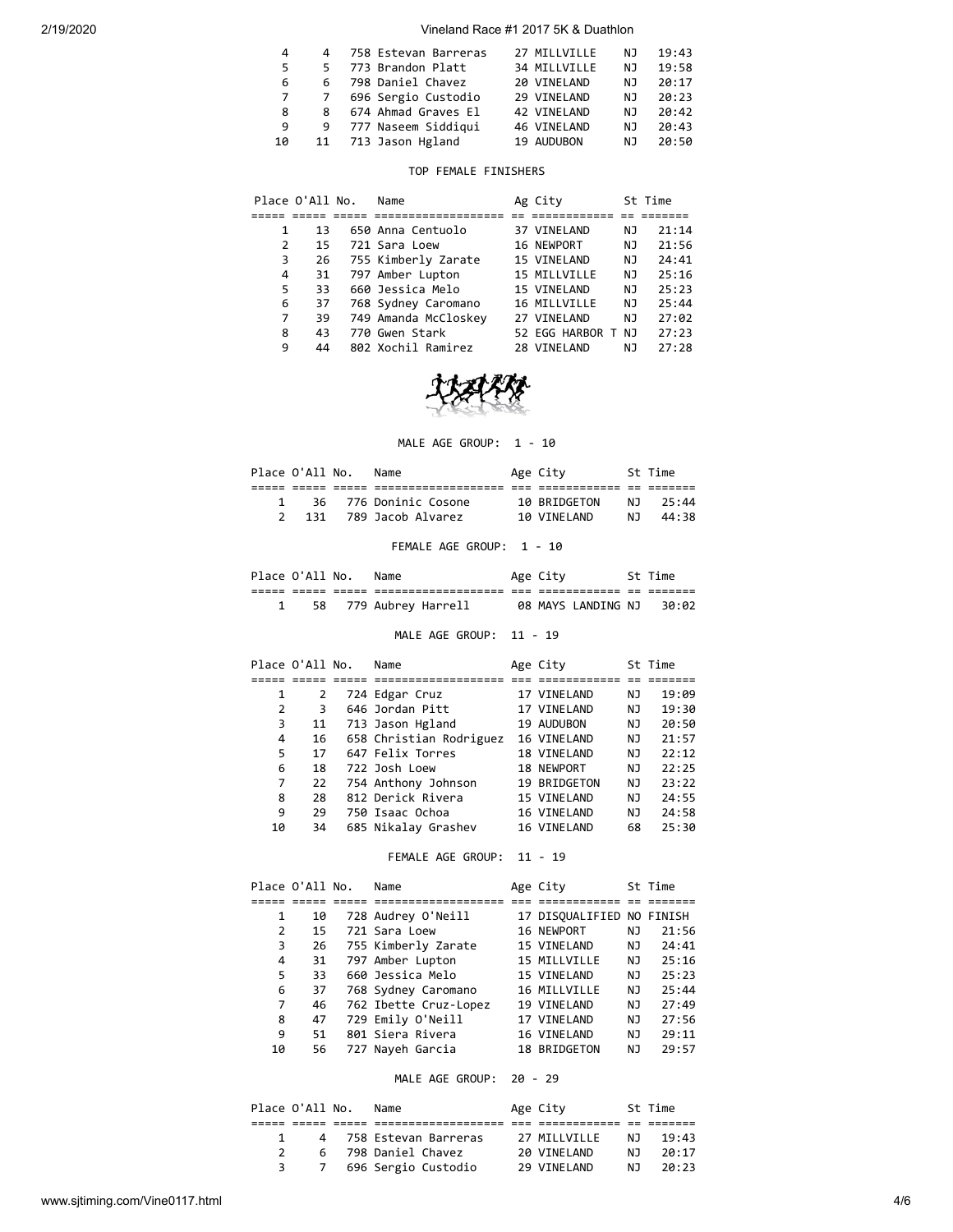| 4           | 4  | 758 Estevan Barreras | 27 MILLVILLE | NJ. | 19:43 |
|-------------|----|----------------------|--------------|-----|-------|
| 5.          | 5. | 773 Brandon Platt    | 34 MILLVILLE | NJ. | 19:58 |
| 6           | 6  | 798 Daniel Chavez    | 20 VINELAND  | NJ. | 20:17 |
| $7^{\circ}$ | 7  | 696 Sergio Custodio  | 29 VINELAND  | NJ. | 20:23 |
| 8           | 8  | 674 Ahmad Graves El  | 42 VINELAND  | NJ. | 20:42 |
| 9           | 9  | 777 Naseem Siddigui  | 46 VINELAND  | NJ. | 20:43 |
| 10          | 11 | 713 Jason Hgland     | 19 AUDUBON   | NJ. | 20:50 |

## TOP FEMALE FINISHERS

|   | Place O'All No. | Name                 | Ag City            |    | St Time |
|---|-----------------|----------------------|--------------------|----|---------|
|   |                 |                      |                    |    |         |
| 1 | 13              | 650 Anna Centuolo    | 37 VINELAND        | ΝJ | 21:14   |
| 2 | 15              | 721 Sara Loew        | 16 NEWPORT         | NJ | 21:56   |
| 3 | 26              | 755 Kimberly Zarate  | 15 VINELAND        | NJ | 24:41   |
| 4 | 31              | 797 Amber Lupton     | 15 MILLVILLE       | NJ | 25:16   |
| 5 | 33              | 660 Jessica Melo     | 15 VINELAND        | NJ | 25:23   |
| 6 | 37              | 768 Sydney Caromano  | 16 MILLVILLE       | NJ | 25:44   |
| 7 | 39              | 749 Amanda McCloskey | 27 VINELAND        | NJ | 27:02   |
| 8 | 43              | 770 Gwen Stark       | 52 EGG HARBOR T NJ |    | 27:23   |
| 9 | 44              | 802 Xochil Ramirez   | 28 VINELAND        | ΝJ | 27:28   |



### MALE AGE GROUP: 1 - 10

|  | Place O'All No. | Name                    | Age City     |     | St Time |  |
|--|-----------------|-------------------------|--------------|-----|---------|--|
|  |                 |                         |              |     |         |  |
|  |                 | 36 - 776 Doninic Cosone | 10 BRIDGETON | N T | - 25:44 |  |
|  | 131             | 789 Jacob Alvarez       | 10 VINFLAND  | N T | 44:38   |  |
|  |                 |                         |              |     |         |  |

#### FEMALE AGE GROUP: 1 - 10

|  | Place O'All No. | Name               |            | Age City           |      | St Time |  |
|--|-----------------|--------------------|------------|--------------------|------|---------|--|
|  |                 | ------------------ | ___<br>___ |                    | $ -$ |         |  |
|  | 58              | 779 Aubrey Harrell |            | 08 MAYS LANDING NJ |      | 30:02   |  |

#### MALE AGE GROUP: 11 - 19

|    | Place O'All No. | Name                    | Age City     |    | St Time |
|----|-----------------|-------------------------|--------------|----|---------|
|    |                 |                         |              |    |         |
| 1  | 2               | 724 Edgar Cruz          | 17 VINELAND  | ΝJ | 19:09   |
| 2  | 3               | 646 Jordan Pitt         | 17 VINELAND  | ΝJ | 19:30   |
| 3  | 11              | 713 Jason Hgland        | 19 AUDUBON   | ΝJ | 20:50   |
| 4  | 16              | 658 Christian Rodriguez | 16 VINELAND  | ΝJ | 21:57   |
| 5  | 17              | 647 Felix Torres        | 18 VINELAND  | ΝJ | 22:12   |
| 6  | 18              | 722 Josh Loew           | 18 NEWPORT   | ΝJ | 22:25   |
| 7  | 22              | 754 Anthony Johnson     | 19 BRIDGETON | ΝJ | 23:22   |
| 8  | 28              | 812 Derick Rivera       | 15 VINELAND  | ΝJ | 24:55   |
| 9  | 29              | 750 Isaac Ochoa         | 16 VINELAND  | ΝJ | 24:58   |
| 10 | 34              | 685 Nikalay Grashev     | 16 VINELAND  | 68 | 25:30   |

## FEMALE AGE GROUP: 11 - 19

|    | Place O'All No. | Name                  | Age City                  |     | St Time |
|----|-----------------|-----------------------|---------------------------|-----|---------|
|    |                 |                       |                           |     |         |
| 1  | 10              | 728 Audrey O'Neill    | 17 DISQUALIFIED NO FINISH |     |         |
| 2  | 15              | 721 Sara Loew         | 16 NEWPORT                | NJ  | 21:56   |
| 3  | 26              | 755 Kimberly Zarate   | 15 VINELAND               | NJ  | 24:41   |
| 4  | 31              | 797 Amber Lupton      | 15 MILLVILLE              | NJ. | 25:16   |
| 5  | 33              | 660 Jessica Melo      | 15 VINELAND               | NJ  | 25:23   |
| 6  | 37              | 768 Sydney Caromano   | 16 MILLVILLE              | NJ  | 25:44   |
| 7  | 46              | 762 Ibette Cruz-Lopez | 19 VINELAND               | NJ  | 27:49   |
| 8  | 47              | 729 Emily O'Neill     | 17 VINELAND               | NJ  | 27:56   |
| 9  | 51              | 801 Siera Rivera      | 16 VINELAND               | NJ  | 29:11   |
| 10 | 56              | 727 Nayeh Garcia      | 18 BRIDGETON              | ΝJ  | 29:57   |

# MALE AGE GROUP: 20 - 29

|   | Name                 |                                                                    |                                                         | St Time |
|---|----------------------|--------------------------------------------------------------------|---------------------------------------------------------|---------|
|   |                      |                                                                    |                                                         |         |
|   |                      |                                                                    | N J                                                     | 19:43   |
|   |                      |                                                                    | N T                                                     | 20:17   |
| 7 |                      |                                                                    | N T                                                     | 20:23   |
|   | Place O'All No.<br>6 | 4 758 Estevan Barreras<br>798 Daniel Chavez<br>696 Sergio Custodio | Age City<br>27 MTIIVTIIF<br>20 VINELAND<br>29 VTNFI AND |         |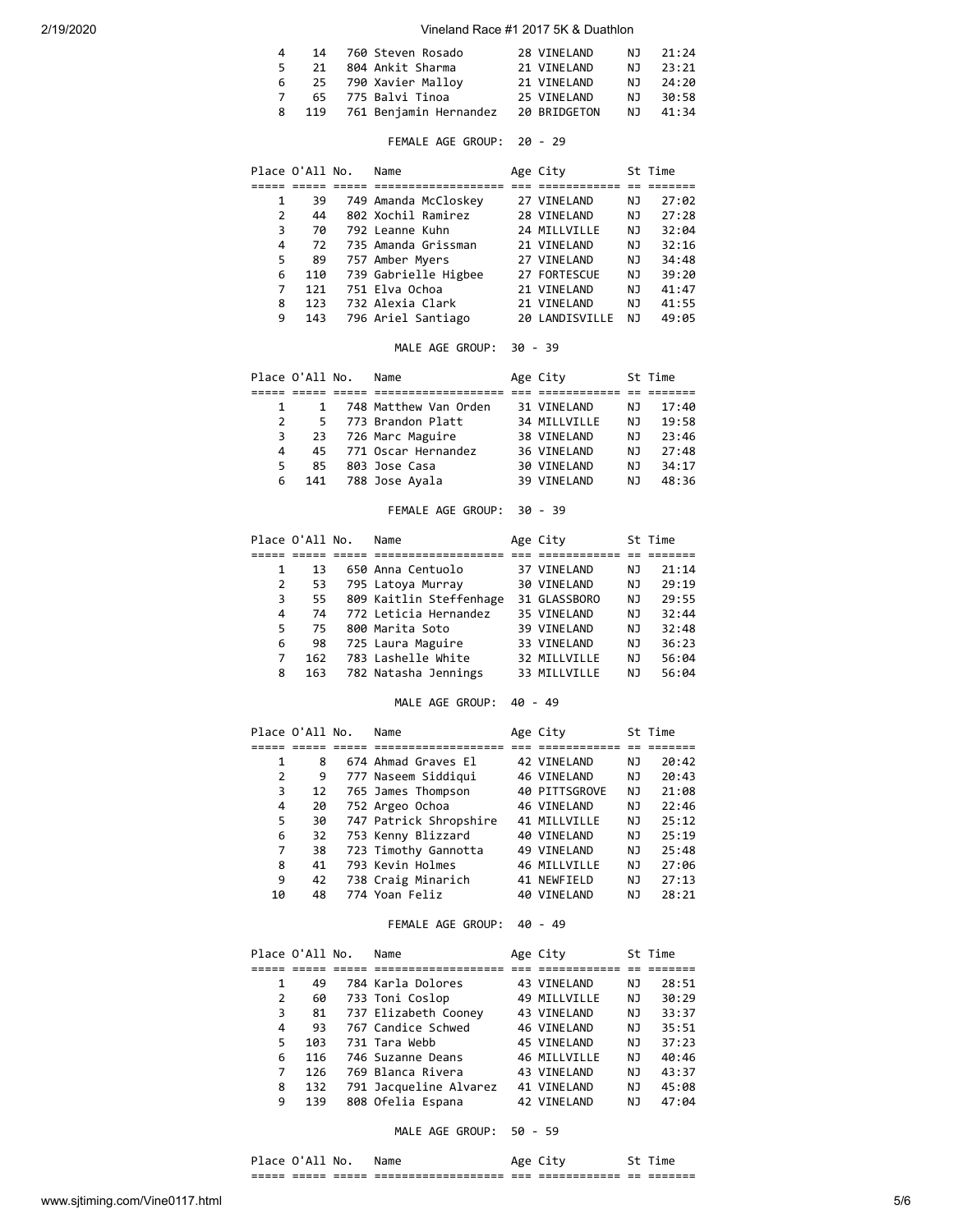| 4   | 14 760 Steven Rosado       | 28 VINELAND  |     | NJ 21:24 |
|-----|----------------------------|--------------|-----|----------|
| 5.  | 21 804 Ankit Sharma        | 21 VINELAND  |     | NJ 23:21 |
| 6 — | 25 790 Xavier Malloy       | 21 VINELAND  | NJ. | 24:20    |
|     | 7 65 775 Balvi Tinoa       | 25 VINELAND  | NJ. | 30:58    |
| 8   | 119 761 Benjamin Hernandez | 20 BRIDGETON |     | NJ 41:34 |

## FEMALE AGE GROUP: 20 - 29

|    | Place O'All No. | Name                 | Age City       |    | St Time |
|----|-----------------|----------------------|----------------|----|---------|
|    |                 |                      |                |    |         |
| 1  | 39              | 749 Amanda McCloskey | 27 VINELAND    | ΝJ | 27:02   |
| 2  | 44              | 802 Xochil Ramirez   | 28 VINELAND    | NJ | 27:28   |
| 3  | 70              | 792 Leanne Kuhn      | 24 MILLVILLE   | NJ | 32:04   |
| 4  | 72              | 735 Amanda Grissman  | 21 VINELAND    | NJ | 32:16   |
| 5. | 89              | 757 Amber Myers      | 27 VINELAND    | ΝJ | 34:48   |
| 6  | 110             | 739 Gabrielle Higbee | 27 FORTESCUE   | NJ | 39:20   |
| 7  | 121             | 751 Elva Ochoa       | 21 VINELAND    | ΝJ | 41:47   |
| 8  | 123             | 732 Alexia Clark     | 21 VINELAND    | ΝJ | 41:55   |
| 9  | 143             | 796 Ariel Santiago   | 20 LANDISVILLE | NJ | 49:05   |

#### MALE AGE GROUP: 30 - 39

|               | Place O'All No. | Name                  | Age City     |     | St Time |
|---------------|-----------------|-----------------------|--------------|-----|---------|
|               |                 |                       |              |     |         |
|               | $\mathbf{1}$    | 748 Matthew Van Orden | 31 VINELAND  | NJ. | 17:40   |
| $\mathcal{P}$ |                 | 5 773 Brandon Platt   | 34 MILLVILLE | NJ  | 19:58   |
| 3             |                 | 23 726 Marc Maguire   | 38 VINELAND  | NJ. | 23:46   |
| 4             | 45              | 771 Oscar Hernandez   | 36 VINELAND  | NJ  | 27:48   |
| 5.            | 85              | 803 Jose Casa         | 30 VINELAND  | NJ. | 34:17   |
| 6             | 141             | 788 Jose Ayala        | 39 VINELAND  | NJ  | 48:36   |

## FEMALE AGE GROUP: 30 - 39

|                | Place O'All No. | Name                    | Age City     |    | St Time |
|----------------|-----------------|-------------------------|--------------|----|---------|
|                |                 |                         |              |    |         |
| $\mathbf{1}$   | 13              | 650 Anna Centuolo       | 37 VINELAND  | ΝJ | 21:14   |
| $\overline{2}$ | 53              | 795 Latoya Murray       | 30 VINELAND  | NJ | 29:19   |
| 3              | 55              | 809 Kaitlin Steffenhage | 31 GLASSBORO | NJ | 29:55   |
| 4              | 74              | 772 Leticia Hernandez   | 35 VINELAND  | ΝJ | 32:44   |
| 5.             | 75              | 800 Marita Soto         | 39 VINELAND  | ΝJ | 32:48   |
| 6              | 98              | 725 Laura Maguire       | 33 VINELAND  | ΝJ | 36:23   |
| 7              | 162             | 783 Lashelle White      | 32 MILLVILLE | NJ | 56:04   |
| 8              | 163             | 782 Natasha Jennings    | 33 MILLVILLE | ΝJ | 56:04   |

#### MALE AGE GROUP: 40 - 49

|    | Place O'All No. | Name                   | Age City      |    | St Time |
|----|-----------------|------------------------|---------------|----|---------|
|    |                 |                        |               |    |         |
| 1  | 8               | 674 Ahmad Graves El    | 42 VINELAND   | ΝJ | 20:42   |
| 2  | 9               | 777 Naseem Siddigui    | 46 VINELAND   | ΝJ | 20:43   |
| 3  | 12              | 765 James Thompson     | 40 PITTSGROVE | ΝJ | 21:08   |
| 4  | 20              | 752 Argeo Ochoa        | 46 VINELAND   | ΝJ | 22:46   |
| 5  | 30              | 747 Patrick Shropshire | 41 MTIIVTIIF  | ΝJ | 25:12   |
| 6  | 32              | 753 Kenny Blizzard     | 40 VINELAND   | ΝJ | 25:19   |
| 7  | 38              | 723 Timothy Gannotta   | 49 VINELAND   | ΝJ | 25:48   |
| 8  | 41              | 793 Kevin Holmes       | 46 MILLVILLE  | NJ | 27:06   |
| 9  | 42              | 738 Craig Minarich     | 41 NEWFIELD   | NJ | 27:13   |
| 10 | 48              | 774 Yoan Feliz         | 40 VINELAND   | ΝJ | 28:21   |
|    |                 |                        |               |    |         |

### FEMALE AGE GROUP: 40 - 49

|   | Place O'All No. | Name                   | Age City         |    | St Time |
|---|-----------------|------------------------|------------------|----|---------|
|   |                 |                        |                  |    |         |
| 1 | 49              | 784 Karla Dolores      | 43 VINELAND      | ΝJ | 28:51   |
| 2 | 60              | 733 Toni Coslop        | 49 MTI I VTI I F | ΝJ | 30:29   |
| 3 | 81              | 737 Elizabeth Cooney   | 43 VINELAND      | ΝJ | 33:37   |
| 4 | 93              | 767 Candice Schwed     | 46 VINELAND      | ΝJ | 35:51   |
| 5 | 103             | 731 Tara Webb          | 45 VINELAND      | ΝJ | 37:23   |
| 6 | 116             | 746 Suzanne Deans      | 46 MILLVILLE     | NJ | 40:46   |
| 7 | 126             | 769 Blanca Rivera      | 43 VINELAND      | ΝJ | 43:37   |
| 8 | 132             | 791 Jacqueline Alvarez | 41 VINELAND      | ΝJ | 45:08   |
| 9 | 139             | 808 Ofelia Espana      | 42 VINELAND      | ΝJ | 47:04   |

### MALE AGE GROUP: 50 - 59

|              | $\mathbf{v}$ | NO.            |                                                |                |                              |                  |                    |
|--------------|--------------|----------------|------------------------------------------------|----------------|------------------------------|------------------|--------------------|
| ---<br>----- | ---<br>_____ | _____<br>_____ | ----------------<br>--<br>-------------------- | $- - -$<br>--- | ____________<br>____________ | $- -$<br>$=$ $-$ | _______<br>------- |